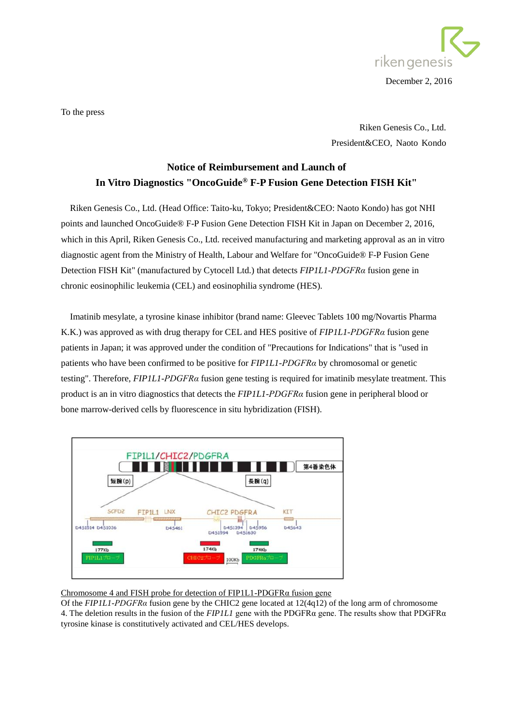

To the press

Riken Genesis Co., Ltd. President&CEO, Naoto Kondo

## **Notice of Reimbursement and Launch of In Vitro Diagnostics "OncoGuide® F-P Fusion Gene Detection FISH Kit"**

Riken Genesis Co., Ltd. (Head Office: Taito-ku, Tokyo; President&CEO: Naoto Kondo) has got NHI points and launched OncoGuide® F-P Fusion Gene Detection FISH Kit in Japan on December 2, 2016, which in this April, Riken Genesis Co., Ltd. received manufacturing and marketing approval as an in vitro diagnostic agent from the Ministry of Health, Labour and Welfare for "OncoGuide® F-P Fusion Gene Detection FISH Kit" (manufactured by Cytocell Ltd.) that detects *FIP1L1-PDGFRα* fusion gene in chronic eosinophilic leukemia (CEL) and eosinophilia syndrome (HES).

Imatinib mesylate, a tyrosine kinase inhibitor (brand name: Gleevec Tablets 100 mg/Novartis Pharma K.K.) was approved as with drug therapy for CEL and HES positive of *FIP1L1-PDGFRα* fusion gene patients in Japan; it was approved under the condition of "Precautions for Indications" that is "used in patients who have been confirmed to be positive for *FIP1L1-PDGFRα* by chromosomal or genetic testing". Therefore, *FIP1L1-PDGFRα* fusion gene testing is required for imatinib mesylate treatment. This product is an in vitro diagnostics that detects the *FIP1L1-PDGFRα* fusion gene in peripheral blood or bone marrow-derived cells by fluorescence in situ hybridization (FISH).



## Chromosome 4 and FISH probe for detection of FIP1L1-PDGFRα fusion gene

Of the *FIP1L1-PDGFRα* fusion gene by the CHIC2 gene located at 12(4q12) of the long arm of chromosome 4. The deletion results in the fusion of the *FIP1L1* gene with the PDGFRα gene. The results show that PDGFRα tyrosine kinase is constitutively activated and CEL/HES develops.